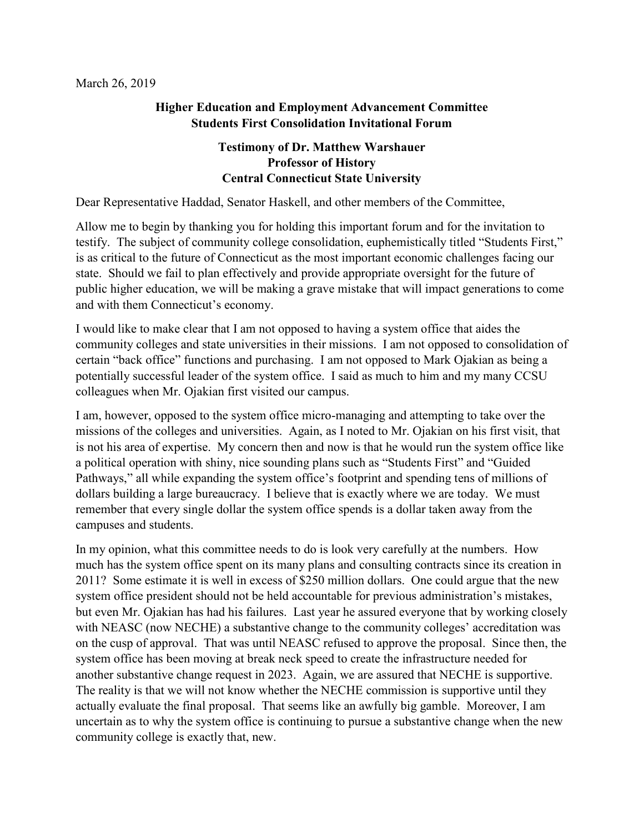## **Higher Education and Employment Advancement Committee Students First Consolidation Invitational Forum**

## **Testimony of Dr. Matthew Warshauer Professor of History Central Connecticut State University**

Dear Representative Haddad, Senator Haskell, and other members of the Committee,

Allow me to begin by thanking you for holding this important forum and for the invitation to testify. The subject of community college consolidation, euphemistically titled "Students First," is as critical to the future of Connecticut as the most important economic challenges facing our state. Should we fail to plan effectively and provide appropriate oversight for the future of public higher education, we will be making a grave mistake that will impact generations to come and with them Connecticut's economy.

I would like to make clear that I am not opposed to having a system office that aides the community colleges and state universities in their missions. I am not opposed to consolidation of certain "back office" functions and purchasing. I am not opposed to Mark Ojakian as being a potentially successful leader of the system office. I said as much to him and my many CCSU colleagues when Mr. Ojakian first visited our campus.

I am, however, opposed to the system office micro-managing and attempting to take over the missions of the colleges and universities. Again, as I noted to Mr. Ojakian on his first visit, that is not his area of expertise. My concern then and now is that he would run the system office like a political operation with shiny, nice sounding plans such as "Students First" and "Guided Pathways," all while expanding the system office's footprint and spending tens of millions of dollars building a large bureaucracy. I believe that is exactly where we are today. We must remember that every single dollar the system office spends is a dollar taken away from the campuses and students.

In my opinion, what this committee needs to do is look very carefully at the numbers. How much has the system office spent on its many plans and consulting contracts since its creation in 2011? Some estimate it is well in excess of \$250 million dollars. One could argue that the new system office president should not be held accountable for previous administration's mistakes, but even Mr. Ojakian has had his failures. Last year he assured everyone that by working closely with NEASC (now NECHE) a substantive change to the community colleges' accreditation was on the cusp of approval. That was until NEASC refused to approve the proposal. Since then, the system office has been moving at break neck speed to create the infrastructure needed for another substantive change request in 2023. Again, we are assured that NECHE is supportive. The reality is that we will not know whether the NECHE commission is supportive until they actually evaluate the final proposal. That seems like an awfully big gamble. Moreover, I am uncertain as to why the system office is continuing to pursue a substantive change when the new community college is exactly that, new.